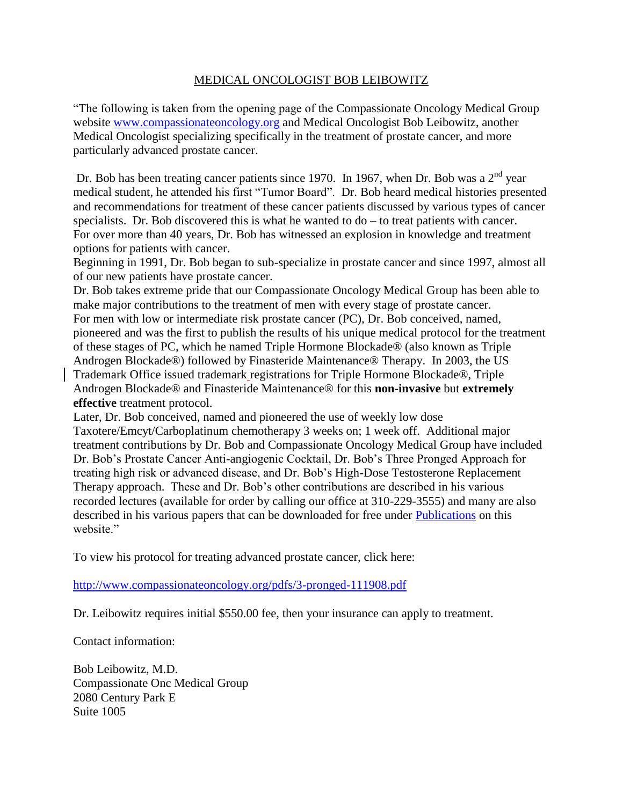## MEDICAL ONCOLOGIST BOB LEIBOWITZ

"The following is taken from the opening page of the Compassionate Oncology Medical Group website [www.compassionateoncology.org](http://www.compassionateoncology.org/) and Medical Oncologist Bob Leibowitz, another Medical Oncologist specializing specifically in the treatment of prostate cancer, and more particularly advanced prostate cancer.

Dr. Bob has been treating cancer patients since 1970. In 1967, when Dr. Bob was a  $2<sup>nd</sup>$  year medical student, he attended his first "Tumor Board". Dr. Bob heard medical histories presented and recommendations for treatment of these cancer patients discussed by various types of cancer specialists. Dr. Bob discovered this is what he wanted to do – to treat patients with cancer. For over more than 40 years, Dr. Bob has witnessed an explosion in knowledge and treatment options for patients with cancer.

Beginning in 1991, Dr. Bob began to sub-specialize in prostate cancer and since 1997, almost all of our new patients have prostate cancer.

Dr. Bob takes extreme pride that our Compassionate Oncology Medical Group has been able to make major contributions to the treatment of men with every stage of prostate cancer. For men with low or intermediate risk prostate cancer (PC), Dr. Bob conceived, named, pioneered and was the first to publish the results of his unique medical protocol for the treatment of these stages of PC, which he named Triple Hormone Blockade® (also known as Triple Androgen Blockade®) followed by Finasteride Maintenance® Therapy. In 2003, the US Trademark Office issued trademark registrations for Triple Hormone Blockade®, Triple Androgen Blockade® and Finasteride Maintenance® for this **non-invasive** but **extremely effective** treatment protocol.

Later, Dr. Bob conceived, named and pioneered the use of weekly low dose Taxotere/Emcyt/Carboplatinum chemotherapy 3 weeks on; 1 week off. Additional major treatment contributions by Dr. Bob and Compassionate Oncology Medical Group have included Dr. Bob's Prostate Cancer Anti-angiogenic Cocktail, Dr. Bob's Three Pronged Approach for treating high risk or advanced disease, and Dr. Bob's High-Dose Testosterone Replacement Therapy approach. These and Dr. Bob's other contributions are described in his various recorded lectures (available for order by calling our office at 310-229-3555) and many are also described in his various papers that can be downloaded for free under [Publications](http://www.compassionateoncology.org/publications.html) on this website."

To view his protocol for treating advanced prostate cancer, click here:

<http://www.compassionateoncology.org/pdfs/3-pronged-111908.pdf>

Dr. Leibowitz requires initial \$550.00 fee, then your insurance can apply to treatment.

Contact information:

Bob Leibowitz, M.D. Compassionate Onc Medical Group 2080 Century Park E Suite 1005